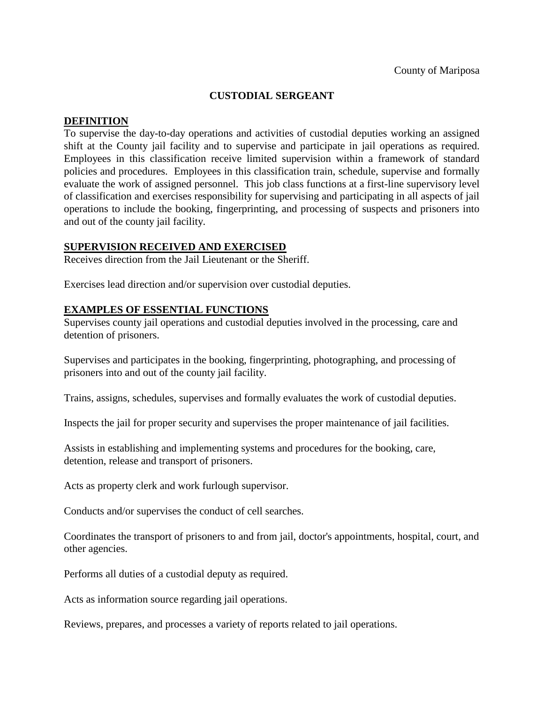# **CUSTODIAL SERGEANT**

## **DEFINITION**

To supervise the day-to-day operations and activities of custodial deputies working an assigned shift at the County jail facility and to supervise and participate in jail operations as required. Employees in this classification receive limited supervision within a framework of standard policies and procedures. Employees in this classification train, schedule, supervise and formally evaluate the work of assigned personnel. This job class functions at a first-line supervisory level of classification and exercises responsibility for supervising and participating in all aspects of jail operations to include the booking, fingerprinting, and processing of suspects and prisoners into and out of the county jail facility.

#### **SUPERVISION RECEIVED AND EXERCISED**

Receives direction from the Jail Lieutenant or the Sheriff.

Exercises lead direction and/or supervision over custodial deputies.

## **EXAMPLES OF ESSENTIAL FUNCTIONS**

Supervises county jail operations and custodial deputies involved in the processing, care and detention of prisoners.

Supervises and participates in the booking, fingerprinting, photographing, and processing of prisoners into and out of the county jail facility.

Trains, assigns, schedules, supervises and formally evaluates the work of custodial deputies.

Inspects the jail for proper security and supervises the proper maintenance of jail facilities.

Assists in establishing and implementing systems and procedures for the booking, care, detention, release and transport of prisoners.

Acts as property clerk and work furlough supervisor.

Conducts and/or supervises the conduct of cell searches.

Coordinates the transport of prisoners to and from jail, doctor's appointments, hospital, court, and other agencies.

Performs all duties of a custodial deputy as required.

Acts as information source regarding jail operations.

Reviews, prepares, and processes a variety of reports related to jail operations.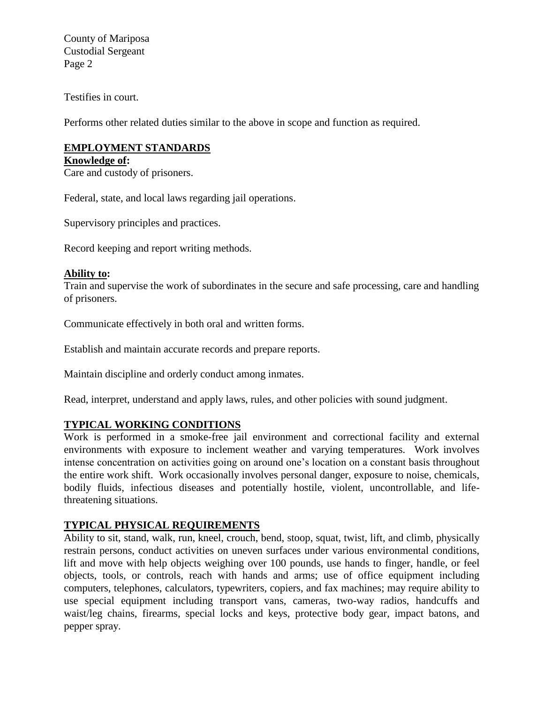County of Mariposa Custodial Sergeant Page 2

Testifies in court.

Performs other related duties similar to the above in scope and function as required.

# **EMPLOYMENT STANDARDS**

**Knowledge of:** 

Care and custody of prisoners.

Federal, state, and local laws regarding jail operations.

Supervisory principles and practices.

Record keeping and report writing methods.

## **Ability to:**

Train and supervise the work of subordinates in the secure and safe processing, care and handling of prisoners.

Communicate effectively in both oral and written forms.

Establish and maintain accurate records and prepare reports.

Maintain discipline and orderly conduct among inmates.

Read, interpret, understand and apply laws, rules, and other policies with sound judgment.

## **TYPICAL WORKING CONDITIONS**

Work is performed in a smoke-free jail environment and correctional facility and external environments with exposure to inclement weather and varying temperatures. Work involves intense concentration on activities going on around one's location on a constant basis throughout the entire work shift. Work occasionally involves personal danger, exposure to noise, chemicals, bodily fluids, infectious diseases and potentially hostile, violent, uncontrollable, and lifethreatening situations.

## **TYPICAL PHYSICAL REQUIREMENTS**

Ability to sit, stand, walk, run, kneel, crouch, bend, stoop, squat, twist, lift, and climb, physically restrain persons, conduct activities on uneven surfaces under various environmental conditions, lift and move with help objects weighing over 100 pounds, use hands to finger, handle, or feel objects, tools, or controls, reach with hands and arms; use of office equipment including computers, telephones, calculators, typewriters, copiers, and fax machines; may require ability to use special equipment including transport vans, cameras, two-way radios, handcuffs and waist/leg chains, firearms, special locks and keys, protective body gear, impact batons, and pepper spray.